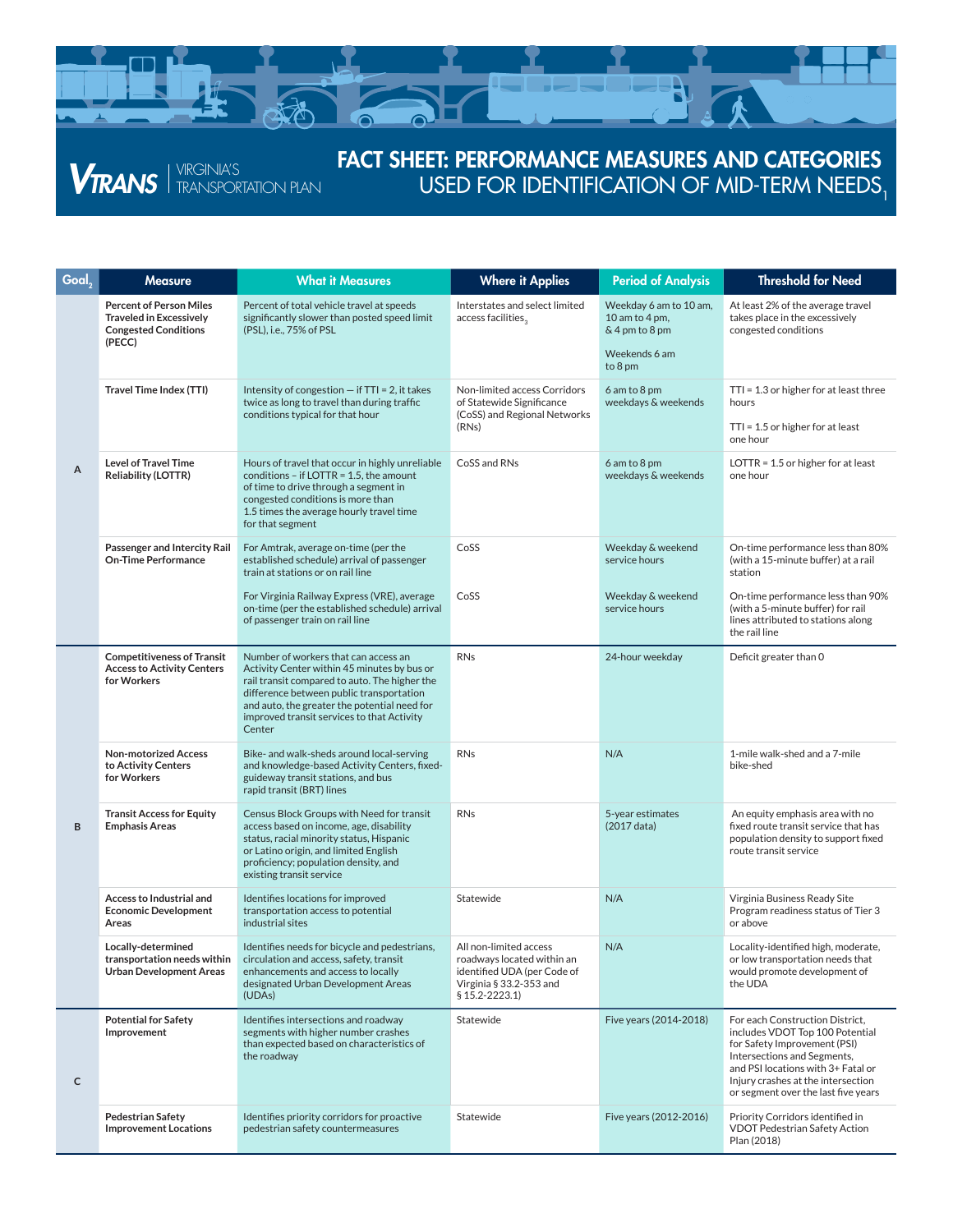

**VIRANS** FRANSPORTATION PLAN

## FACT SHEET: PERFORMANCE MEASURES AND CATEGORIES USED FOR IDENTIFICATION OF MID-TERM NEEDS,

| Goal, | <b>Measure</b>                                                                                            | <b>What it Measures</b>                                                                                                                                                                                                                                                                  | <b>Where it Applies</b>                                                                                                          | <b>Period of Analysis</b>                                  | <b>Threshold for Need</b>                                                                                                                                                                                                                            |
|-------|-----------------------------------------------------------------------------------------------------------|------------------------------------------------------------------------------------------------------------------------------------------------------------------------------------------------------------------------------------------------------------------------------------------|----------------------------------------------------------------------------------------------------------------------------------|------------------------------------------------------------|------------------------------------------------------------------------------------------------------------------------------------------------------------------------------------------------------------------------------------------------------|
| А     | <b>Percent of Person Miles</b><br><b>Traveled in Excessively</b><br><b>Congested Conditions</b><br>(PECC) | Percent of total vehicle travel at speeds<br>significantly slower than posted speed limit<br>(PSL), i.e., 75% of PSL                                                                                                                                                                     | Interstates and select limited<br>access facilities,                                                                             | Weekday 6 am to 10 am,<br>10 am to 4 pm,<br>& 4 pm to 8 pm | At least 2% of the average travel<br>takes place in the excessively<br>congested conditions                                                                                                                                                          |
|       |                                                                                                           |                                                                                                                                                                                                                                                                                          |                                                                                                                                  | Weekends 6 am<br>to 8 pm                                   |                                                                                                                                                                                                                                                      |
|       | Travel Time Index (TTI)                                                                                   | Intensity of congestion $-$ if TTI = 2, it takes<br>twice as long to travel than during traffic<br>conditions typical for that hour                                                                                                                                                      | Non-limited access Corridors<br>of Statewide Significance<br>(CoSS) and Regional Networks                                        | 6 am to 8 pm<br>weekdays & weekends                        | $TTI = 1.3$ or higher for at least three<br>hours                                                                                                                                                                                                    |
|       |                                                                                                           |                                                                                                                                                                                                                                                                                          | (RNs)                                                                                                                            |                                                            | $TTI = 1.5$ or higher for at least<br>one hour                                                                                                                                                                                                       |
|       | <b>Level of Travel Time</b><br><b>Reliability (LOTTR)</b>                                                 | Hours of travel that occur in highly unreliable<br>conditions - if LOTTR = $1.5$ , the amount<br>of time to drive through a segment in<br>congested conditions is more than<br>1.5 times the average hourly travel time<br>for that segment                                              | CoSS and RNs                                                                                                                     | 6 am to 8 pm<br>weekdays & weekends                        | LOTTR = $1.5$ or higher for at least<br>one hour                                                                                                                                                                                                     |
|       | Passenger and Intercity Rail<br><b>On-Time Performance</b>                                                | For Amtrak, average on-time (per the<br>established schedule) arrival of passenger<br>train at stations or on rail line                                                                                                                                                                  | CoSS                                                                                                                             | Weekday & weekend<br>service hours                         | On-time performance less than 80%<br>(with a 15-minute buffer) at a rail<br>station                                                                                                                                                                  |
|       |                                                                                                           | For Virginia Railway Express (VRE), average<br>on-time (per the established schedule) arrival<br>of passenger train on rail line                                                                                                                                                         | CoSS                                                                                                                             | Weekday & weekend<br>service hours                         | On-time performance less than 90%<br>(with a 5-minute buffer) for rail<br>lines attributed to stations along<br>the rail line                                                                                                                        |
| B     | <b>Competitiveness of Transit</b><br><b>Access to Activity Centers</b><br>for Workers                     | Number of workers that can access an<br>Activity Center within 45 minutes by bus or<br>rail transit compared to auto. The higher the<br>difference between public transportation<br>and auto, the greater the potential need for<br>improved transit services to that Activity<br>Center | <b>RNs</b>                                                                                                                       | 24-hour weekday                                            | Deficit greater than 0                                                                                                                                                                                                                               |
|       | <b>Non-motorized Access</b><br>to Activity Centers<br>for Workers                                         | Bike- and walk-sheds around local-serving<br>and knowledge-based Activity Centers, fixed-<br>guideway transit stations, and bus<br>rapid transit (BRT) lines                                                                                                                             | <b>RNs</b>                                                                                                                       | N/A                                                        | 1-mile walk-shed and a 7-mile<br>bike-shed                                                                                                                                                                                                           |
|       | <b>Transit Access for Equity</b><br><b>Emphasis Areas</b>                                                 | Census Block Groups with Need for transit<br>access based on income, age, disability<br>status, racial minority status, Hispanic<br>or Latino origin, and limited English<br>proficiency; population density, and<br>existing transit service                                            | <b>RNs</b>                                                                                                                       | 5-year estimates<br>(2017 data)                            | An equity emphasis area with no<br>fixed route transit service that has<br>population density to support fixed<br>route transit service                                                                                                              |
|       | <b>Access to Industrial and</b><br><b>Economic Development</b><br>Areas                                   | Identifies locations for improved<br>transportation access to potential<br>industrial sites                                                                                                                                                                                              | Statewide                                                                                                                        | N/A                                                        | Virginia Business Ready Site<br>Program readiness status of Tier 3<br>or above                                                                                                                                                                       |
|       | Locally-determined<br>transportation needs within<br><b>Urban Development Areas</b>                       | Identifies needs for bicycle and pedestrians,<br>circulation and access, safety, transit<br>enhancements and access to locally<br>designated Urban Development Areas<br>(UDAs)                                                                                                           | All non-limited access<br>roadways located within an<br>identified UDA (per Code of<br>Virginia § 33.2-353 and<br>§ 15.2-2223.1) | N/A                                                        | Locality-identified high, moderate,<br>or low transportation needs that<br>would promote development of<br>the UDA                                                                                                                                   |
| c     | <b>Potential for Safety</b><br>Improvement                                                                | Identifies intersections and roadway<br>segments with higher number crashes<br>than expected based on characteristics of<br>the roadway                                                                                                                                                  | Statewide                                                                                                                        | Five years (2014-2018)                                     | For each Construction District,<br>includes VDOT Top 100 Potential<br>for Safety Improvement (PSI)<br>Intersections and Segments,<br>and PSI locations with 3+ Fatal or<br>Injury crashes at the intersection<br>or segment over the last five years |
|       | <b>Pedestrian Safety</b><br><b>Improvement Locations</b>                                                  | Identifies priority corridors for proactive<br>pedestrian safety countermeasures                                                                                                                                                                                                         | Statewide                                                                                                                        | Five years (2012-2016)                                     | Priority Corridors identified in<br>VDOT Pedestrian Safety Action<br>Plan (2018)                                                                                                                                                                     |